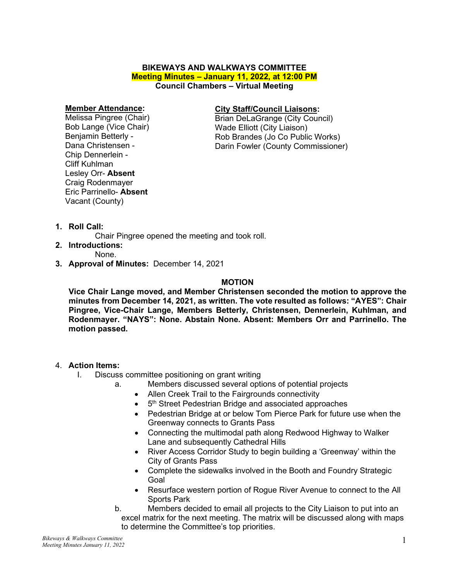# **BIKEWAYS AND WALKWAYS COMMITTEE Meeting Minutes – January 11, 2022, at 12:00 PM Council Chambers – Virtual Meeting**

#### **Member Attendance:**

Melissa Pingree (Chair) Bob Lange (Vice Chair) Benjamin Betterly - Dana Christensen - Chip Dennerlein - Cliff Kuhlman Lesley Orr- **Absent** Craig Rodenmayer Eric Parrinello- **Absent** Vacant (County)

### **City Staff/Council Liaisons:**

Brian DeLaGrange (City Council) Wade Elliott (City Liaison) Rob Brandes (Jo Co Public Works) Darin Fowler (County Commissioner)

**1. Roll Call:** 

Chair Pingree opened the meeting and took roll.

**2. Introductions:**

None.

**3. Approval of Minutes:** December 14, 2021

# **MOTION**

**Vice Chair Lange moved, and Member Christensen seconded the motion to approve the minutes from December 14, 2021, as written. The vote resulted as follows: "AYES": Chair Pingree, Vice-Chair Lange, Members Betterly, Christensen, Dennerlein, Kuhlman, and Rodenmayer. "NAYS": None. Abstain None. Absent: Members Orr and Parrinello. The motion passed.** 

# 4. **Action Items:**

- I. Discuss committee positioning on grant writing
	- a. Members discussed several options of potential projects
		- Allen Creek Trail to the Fairgrounds connectivity
		- 5<sup>th</sup> Street Pedestrian Bridge and associated approaches
		- Pedestrian Bridge at or below Tom Pierce Park for future use when the Greenway connects to Grants Pass
		- Connecting the multimodal path along Redwood Highway to Walker Lane and subsequently Cathedral Hills
		- River Access Corridor Study to begin building a 'Greenway' within the City of Grants Pass
		- Complete the sidewalks involved in the Booth and Foundry Strategic Goal
		- Resurface western portion of Rogue River Avenue to connect to the All Sports Park
		- b. Members decided to email all projects to the City Liaison to put into an excel matrix for the next meeting. The matrix will be discussed along with maps to determine the Committee's top priorities.